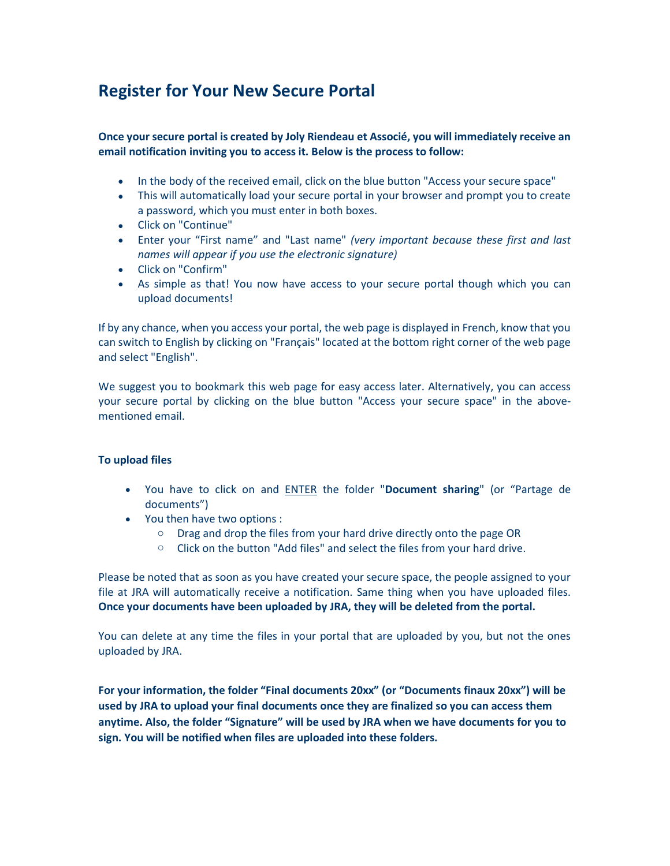## Register for Your New Secure Portal

Once your secure portal is created by Joly Riendeau et Associé, you will immediately receive an email notification inviting you to access it. Below is the process to follow:

- In the body of the received email, click on the blue button "Access your secure space"
- This will automatically load your secure portal in your browser and prompt you to create a password, which you must enter in both boxes.
- Click on "Continue"
- Enter your "First name" and "Last name" (very important because these first and last names will appear if you use the electronic signature)
- Click on "Confirm"
- As simple as that! You now have access to your secure portal though which you can upload documents!

If by any chance, when you access your portal, the web page is displayed in French, know that you can switch to English by clicking on "Français" located at the bottom right corner of the web page and select "English".

We suggest you to bookmark this web page for easy access later. Alternatively, you can access your secure portal by clicking on the blue button "Access your secure space" in the abovementioned email.

## To upload files

- You have to click on and **ENTER** the folder "Document sharing" (or "Partage de documents")
- You then have two options :
	- o Drag and drop the files from your hard drive directly onto the page OR
	- o Click on the button "Add files" and select the files from your hard drive.

Please be noted that as soon as you have created your secure space, the people assigned to your file at JRA will automatically receive a notification. Same thing when you have uploaded files. Once your documents have been uploaded by JRA, they will be deleted from the portal.

You can delete at any time the files in your portal that are uploaded by you, but not the ones uploaded by JRA.

For your information, the folder "Final documents 20xx" (or "Documents finaux 20xx") will be used by JRA to upload your final documents once they are finalized so you can access them anytime. Also, the folder "Signature" will be used by JRA when we have documents for you to sign. You will be notified when files are uploaded into these folders.